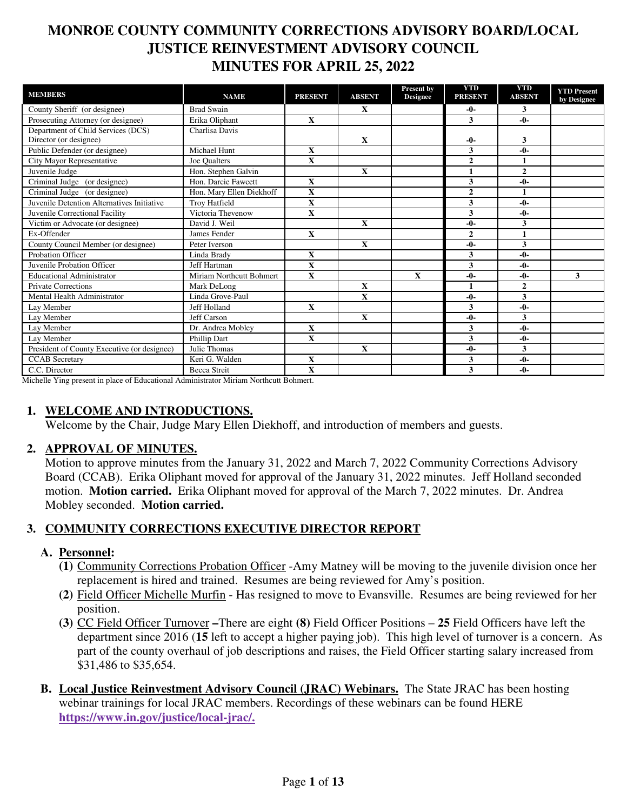### **MONROE COUNTY COMMUNITY CORRECTIONS ADVISORY BOARD/LOCAL JUSTICE REINVESTMENT ADVISORY COUNCIL MINUTES FOR APRIL 25, 2022**

| <b>MEMBERS</b>                              | <b>NAME</b>              | <b>PRESENT</b>          | <b>ABSENT</b> | Present by<br><b>Designee</b> | <b>YTD</b><br><b>PRESENT</b> | <b>YTD</b><br><b>ABSENT</b> | <b>YTD Present</b><br>by Designee |
|---------------------------------------------|--------------------------|-------------------------|---------------|-------------------------------|------------------------------|-----------------------------|-----------------------------------|
| County Sheriff (or designee)                | <b>Brad Swain</b>        |                         | X             |                               | $-0-$                        | 3                           |                                   |
| Prosecuting Attorney (or designee)          | Erika Oliphant           | $\mathbf{X}$            |               |                               | 3                            | $-0-$                       |                                   |
| Department of Child Services (DCS)          | Charlisa Davis           |                         |               |                               |                              |                             |                                   |
| Director (or designee)                      |                          |                         | $\mathbf X$   |                               | $-0-$                        | 3                           |                                   |
| Public Defender (or designee)               | <b>Michael Hunt</b>      | $\mathbf{x}$            |               |                               | 3                            | $-0-$                       |                                   |
| <b>City Mayor Representative</b>            | Joe Oualters             | X                       |               |                               | $\overline{2}$               | $\mathbf{1}$                |                                   |
| Juvenile Judge                              | Hon. Stephen Galvin      |                         | $\mathbf X$   |                               | $\mathbf{1}$                 | $\mathbf{2}$                |                                   |
| Criminal Judge (or designee)                | Hon. Darcie Fawcett      | X                       |               |                               | 3                            | $-0-$                       |                                   |
| Criminal Judge (or designee)                | Hon. Mary Ellen Diekhoff | $\mathbf X$             |               |                               | $\overline{2}$               | $\blacksquare$              |                                   |
| Juvenile Detention Alternatives Initiative  | <b>Trov Hatfield</b>     | $\overline{\mathbf{X}}$ |               |                               | 3                            | $-0-$                       |                                   |
| Juvenile Correctional Facility              | Victoria Thevenow        | $\mathbf{X}$            |               |                               | 3                            | $-0-$                       |                                   |
| Victim or Advocate (or designee)            | David J. Weil            |                         | $\mathbf X$   |                               | $-0-$                        | 3                           |                                   |
| Ex-Offender                                 | James Fender             | $\mathbf{X}$            |               |                               | $\overline{2}$               | $\mathbf{1}$                |                                   |
| County Council Member (or designee)         | Peter Iverson            |                         | X             |                               | $-0-$                        | 3                           |                                   |
| Probation Officer                           | Linda Brady              | X                       |               |                               | 3                            | $-0-$                       |                                   |
| Juvenile Probation Officer                  | Jeff Hartman             | $\mathbf{x}$            |               |                               | 3                            | $-0-$                       |                                   |
| <b>Educational Administrator</b>            | Miriam Northcutt Bohmert | $\mathbf X$             |               | $\mathbf X$                   | $-0-$                        | $-0-$                       | 3                                 |
| <b>Private Corrections</b>                  | Mark DeLong              |                         | $\mathbf X$   |                               | $\mathbf{1}$                 | $\overline{2}$              |                                   |
| Mental Health Administrator                 | Linda Grove-Paul         |                         | $\mathbf{x}$  |                               | $-0-$                        | 3                           |                                   |
| Lay Member                                  | Jeff Holland             | X                       |               |                               | 3                            | $-0-$                       |                                   |
| Lay Member                                  | Jeff Carson              |                         | $\mathbf X$   |                               | $-0-$                        | 3                           |                                   |
| Lay Member                                  | Dr. Andrea Moblev        | $\mathbf{x}$            |               |                               | 3                            | $-0-$                       |                                   |
| Lay Member                                  | Phillip Dart             | X                       |               |                               | 3                            | $-0-$                       |                                   |
| President of County Executive (or designee) | Julie Thomas             |                         | $\mathbf X$   |                               | $-0-$                        | 3                           |                                   |
| <b>CCAB</b> Secretary                       | Keri G. Walden           | X                       |               |                               | 3                            | $-0-$                       |                                   |
| C.C. Director                               | <b>Becca Streit</b>      | X                       |               |                               | 3                            | $-0-$                       |                                   |

Michelle Ying present in place of Educational Administrator Miriam Northcutt Bohmert.

#### **1. WELCOME AND INTRODUCTIONS.**

Welcome by the Chair, Judge Mary Ellen Diekhoff, and introduction of members and guests.

#### **2. APPROVAL OF MINUTES.**

Motion to approve minutes from the January 31, 2022 and March 7, 2022 Community Corrections Advisory Board (CCAB). Erika Oliphant moved for approval of the January 31, 2022 minutes. Jeff Holland seconded motion. **Motion carried.** Erika Oliphant moved for approval of the March 7, 2022 minutes. Dr. Andrea Mobley seconded. **Motion carried.** 

#### **3. COMMUNITY CORRECTIONS EXECUTIVE DIRECTOR REPORT**

#### **A. Personnel:**

- **(1)** Community Corrections Probation Officer -Amy Matney will be moving to the juvenile division once her replacement is hired and trained. Resumes are being reviewed for Amy's position.
- **(2)** Field Officer Michelle Murfin Has resigned to move to Evansville. Resumes are being reviewed for her position.
- **(3)** CC Field Officer Turnover **–**There are eight **(8)** Field Officer Positions **25** Field Officers have left the department since 2016 (**15** left to accept a higher paying job). This high level of turnover is a concern. As part of the county overhaul of job descriptions and raises, the Field Officer starting salary increased from \$31,486 to \$35,654.
- **B. Local Justice Reinvestment Advisory Council (JRAC) Webinars.** The State JRAC has been hosting webinar trainings for local JRAC members. Recordings of these webinars can be found HERE **https://www.in.gov/justice/local-jrac/.**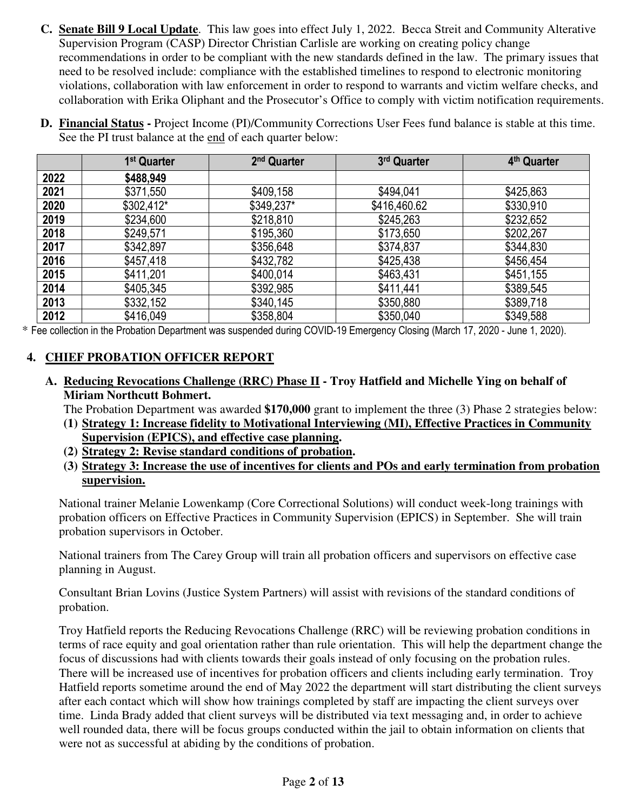- **C. Senate Bill 9 Local Update**. This law goes into effect July 1, 2022. Becca Streit and Community Alterative Supervision Program (CASP) Director Christian Carlisle are working on creating policy change recommendations in order to be compliant with the new standards defined in the law. The primary issues that need to be resolved include: compliance with the established timelines to respond to electronic monitoring violations, collaboration with law enforcement in order to respond to warrants and victim welfare checks, and collaboration with Erika Oliphant and the Prosecutor's Office to comply with victim notification requirements.
- **D. Financial Status** Project Income (PI)/Community Corrections User Fees fund balance is stable at this time. See the PI trust balance at the end of each quarter below:

|      | 1 <sup>st</sup> Quarter | 2 <sup>nd</sup> Quarter | 3rd Quarter  | 4 <sup>th</sup> Quarter |
|------|-------------------------|-------------------------|--------------|-------------------------|
| 2022 | \$488,949               |                         |              |                         |
| 2021 | \$371,550               | \$409,158               | \$494,041    | \$425,863               |
| 2020 | \$302,412*              | \$349,237*              | \$416,460.62 | \$330,910               |
| 2019 | \$234,600               | \$218,810               | \$245,263    | \$232,652               |
| 2018 | \$249,571               | \$195,360               | \$173,650    | \$202,267               |
| 2017 | \$342,897               | \$356,648               | \$374,837    | \$344,830               |
| 2016 | \$457,418               | \$432,782               | \$425,438    | \$456,454               |
| 2015 | \$411,201               | \$400,014               | \$463,431    | \$451,155               |
| 2014 | \$405,345               | \$392,985               | \$411,441    | \$389,545               |
| 2013 | \$332,152               | \$340,145               | \$350,880    | \$389,718               |
| 2012 | \$416,049               | \$358,804               | \$350,040    | \$349,588               |

\* Fee collection in the Probation Department was suspended during COVID-19 Emergency Closing (March 17, 2020 - June 1, 2020).

#### **4. CHIEF PROBATION OFFICER REPORT**

**A. Reducing Revocations Challenge (RRC) Phase II - Troy Hatfield and Michelle Ying on behalf of Miriam Northcutt Bohmert.** 

The Probation Department was awarded **\$170,000** grant to implement the three (3) Phase 2 strategies below:

- **(1) Strategy 1: Increase fidelity to Motivational Interviewing (MI), Effective Practices in Community Supervision (EPICS), and effective case planning.**
- **(2) Strategy 2: Revise standard conditions of probation.**
- **(3) Strategy 3: Increase the use of incentives for clients and POs and early termination from probation supervision.**

National trainer Melanie Lowenkamp (Core Correctional Solutions) will conduct week-long trainings with probation officers on Effective Practices in Community Supervision (EPICS) in September. She will train probation supervisors in October.

National trainers from The Carey Group will train all probation officers and supervisors on effective case planning in August.

Consultant Brian Lovins (Justice System Partners) will assist with revisions of the standard conditions of probation.

Troy Hatfield reports the Reducing Revocations Challenge (RRC) will be reviewing probation conditions in terms of race equity and goal orientation rather than rule orientation. This will help the department change the focus of discussions had with clients towards their goals instead of only focusing on the probation rules. There will be increased use of incentives for probation officers and clients including early termination. Troy Hatfield reports sometime around the end of May 2022 the department will start distributing the client surveys after each contact which will show how trainings completed by staff are impacting the client surveys over time. Linda Brady added that client surveys will be distributed via text messaging and, in order to achieve well rounded data, there will be focus groups conducted within the jail to obtain information on clients that were not as successful at abiding by the conditions of probation.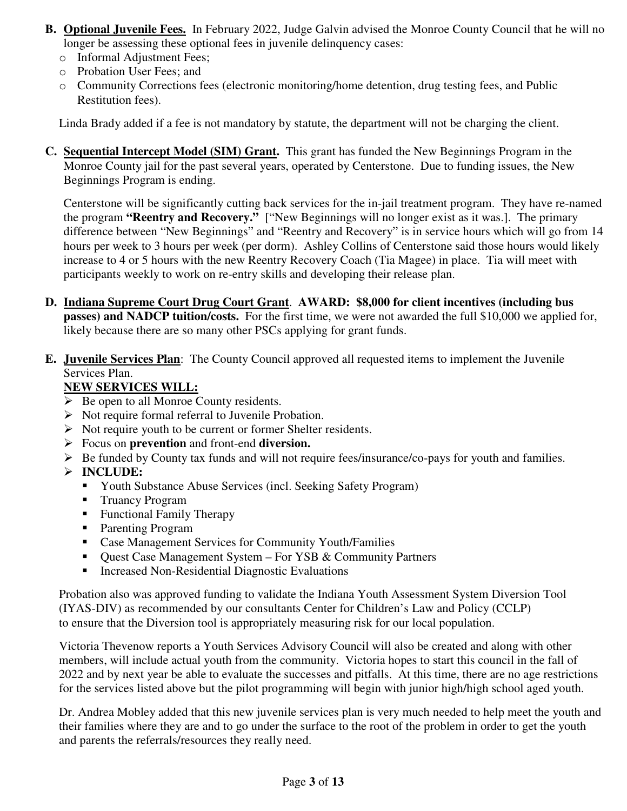- **B. Optional Juvenile Fees.** In February 2022, Judge Galvin advised the Monroe County Council that he will no longer be assessing these optional fees in juvenile delinquency cases:
	- o Informal Adjustment Fees;
	- o Probation User Fees; and
	- o Community Corrections fees (electronic monitoring/home detention, drug testing fees, and Public Restitution fees).

Linda Brady added if a fee is not mandatory by statute, the department will not be charging the client.

**C. Sequential Intercept Model (SIM) Grant.** This grant has funded the New Beginnings Program in the Monroe County jail for the past several years, operated by Centerstone. Due to funding issues, the New Beginnings Program is ending.

Centerstone will be significantly cutting back services for the in-jail treatment program. They have re-named the program **"Reentry and Recovery."** ["New Beginnings will no longer exist as it was.]. The primary difference between "New Beginnings" and "Reentry and Recovery" is in service hours which will go from 14 hours per week to 3 hours per week (per dorm). Ashley Collins of Centerstone said those hours would likely increase to 4 or 5 hours with the new Reentry Recovery Coach (Tia Magee) in place. Tia will meet with participants weekly to work on re-entry skills and developing their release plan.

- **D. Indiana Supreme Court Drug Court Grant**. **AWARD: \$8,000 for client incentives (including bus passes) and NADCP tuition/costs.** For the first time, we were not awarded the full \$10,000 we applied for, likely because there are so many other PSCs applying for grant funds.
- **E. Juvenile Services Plan**: The County Council approved all requested items to implement the Juvenile Services Plan.

#### **NEW SERVICES WILL:**

- $\triangleright$  Be open to all Monroe County residents.
- $\triangleright$  Not require formal referral to Juvenile Probation.
- $\triangleright$  Not require youth to be current or former Shelter residents.
- Focus on **prevention** and front-end **diversion.**
- $\triangleright$  Be funded by County tax funds and will not require fees/insurance/co-pays for youth and families.

#### **INCLUDE:**

- Youth Substance Abuse Services (incl. Seeking Safety Program)
- Truancy Program
- **Functional Family Therapy**
- **Parenting Program**
- Case Management Services for Community Youth/Families
- Quest Case Management System For YSB & Community Partners
- Increased Non-Residential Diagnostic Evaluations

Probation also was approved funding to validate the Indiana Youth Assessment System Diversion Tool (IYAS-DIV) as recommended by our consultants Center for Children's Law and Policy (CCLP) to ensure that the Diversion tool is appropriately measuring risk for our local population.

Victoria Thevenow reports a Youth Services Advisory Council will also be created and along with other members, will include actual youth from the community. Victoria hopes to start this council in the fall of 2022 and by next year be able to evaluate the successes and pitfalls. At this time, there are no age restrictions for the services listed above but the pilot programming will begin with junior high/high school aged youth.

Dr. Andrea Mobley added that this new juvenile services plan is very much needed to help meet the youth and their families where they are and to go under the surface to the root of the problem in order to get the youth and parents the referrals/resources they really need.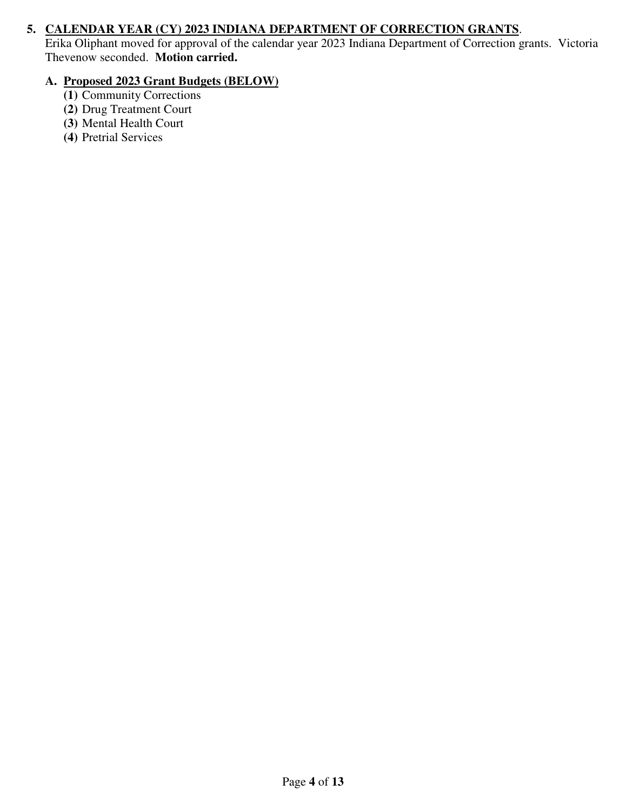#### **5. CALENDAR YEAR (CY) 2023 INDIANA DEPARTMENT OF CORRECTION GRANTS**.

Erika Oliphant moved for approval of the calendar year 2023 Indiana Department of Correction grants. Victoria Thevenow seconded. **Motion carried.**

#### **A. Proposed 2023 Grant Budgets (BELOW)**

- **(1)** Community Corrections
- **(2)** Drug Treatment Court
- **(3)** Mental Health Court
- **(4)** Pretrial Services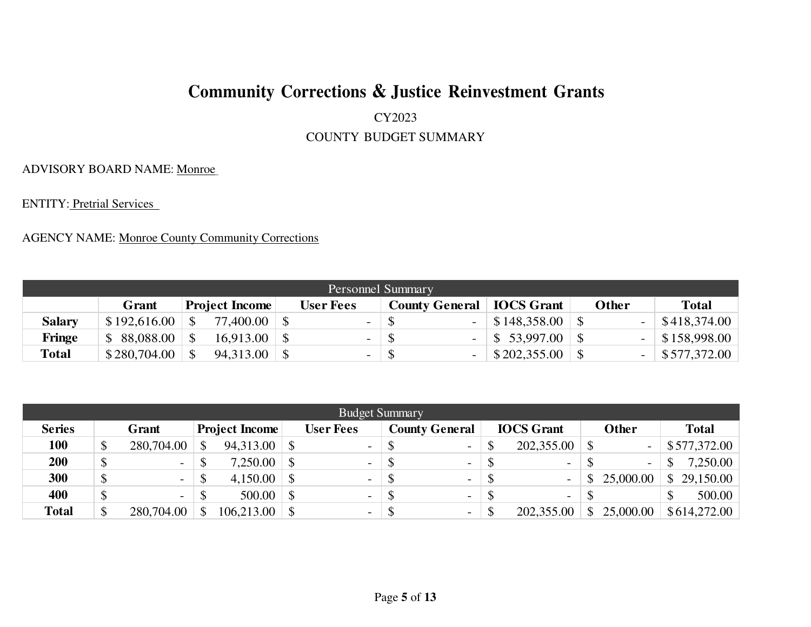#### CY2023

#### COUNTY BUDGET SUMMARY

ADVISORY BOARD NAME: Monroe

ENTITY: Pretrial Services

|               | <b>Personnel Summary</b> |                       |                                    |  |                          |              |  |                      |  |  |                    |  |  |  |  |
|---------------|--------------------------|-----------------------|------------------------------------|--|--------------------------|--------------|--|----------------------|--|--|--------------------|--|--|--|--|
|               | Grant                    | <b>Project Income</b> | <b>County General   IOCS Grant</b> |  | Other                    | <b>Total</b> |  |                      |  |  |                    |  |  |  |  |
| <b>Salary</b> |                          |                       | 77,400.00                          |  | $\sim$                   | -S           |  | $-$ \ \$148,358.00 \ |  |  | \$418,374.00       |  |  |  |  |
| <b>Fringe</b> |                          |                       | 16.913.00                          |  | $\sim$                   | - \$         |  | $-$ \$ 53,997.00     |  |  | $-$ \$158,998.00   |  |  |  |  |
| <b>Total</b>  | $$280,704.00$ \ \$       |                       | 94.313.00                          |  | $\overline{\phantom{0}}$ | -\$          |  | $-$ \$202,355.00     |  |  | $-$ \ \$577,372.00 |  |  |  |  |

|               | <b>Budget Summary</b>          |            |               |            |               |                          |               |                          |    |                          |    |                          |    |              |  |
|---------------|--------------------------------|------------|---------------|------------|---------------|--------------------------|---------------|--------------------------|----|--------------------------|----|--------------------------|----|--------------|--|
| <b>Series</b> | <b>Project Income</b><br>Grant |            |               |            |               | <b>User Fees</b>         |               | <b>County General</b>    |    | <b>IOCS</b> Grant        |    | <b>Other</b>             |    | <b>Total</b> |  |
| 100           | \$                             | 280,704.00 |               | 94,313.00  | $\mathbb{S}$  | $\sim$                   | $\mathcal{S}$ | $\overline{\phantom{a}}$ | ۰D | 202,355.00               |    | $\overline{\phantom{a}}$ |    | \$577,372.00 |  |
| 200           | $\boldsymbol{\mathsf{S}}$      | -          |               | 7,250.00   | \$            | $\overline{\phantom{a}}$ | <sup>\$</sup> | $\overline{\phantom{0}}$ |    | -                        | S  | ۰.                       |    | 7,250.00     |  |
| 300           | \$                             |            | $\mathcal{S}$ | 4,150.00   | $\mathcal{S}$ | $\overline{\phantom{0}}$ | <sup>\$</sup> | $\overline{\phantom{a}}$ |    |                          | \$ | 25,000.00                | \$ | 29,150.00    |  |
| 400           | \$                             | $\sim$     |               | 500.00     | $\mathcal{S}$ | $\sim$                   | \$            | $\overline{\phantom{a}}$ |    | $\overline{\phantom{a}}$ |    |                          |    | 500.00       |  |
| <b>Total</b>  |                                | 280,704.00 |               | 106,213.00 | $\mathbb{S}$  | $\overline{\phantom{0}}$ | <sup>\$</sup> | $\overline{\phantom{a}}$ |    | 202,355.00               |    | 25,000.00                |    | \$614,272.00 |  |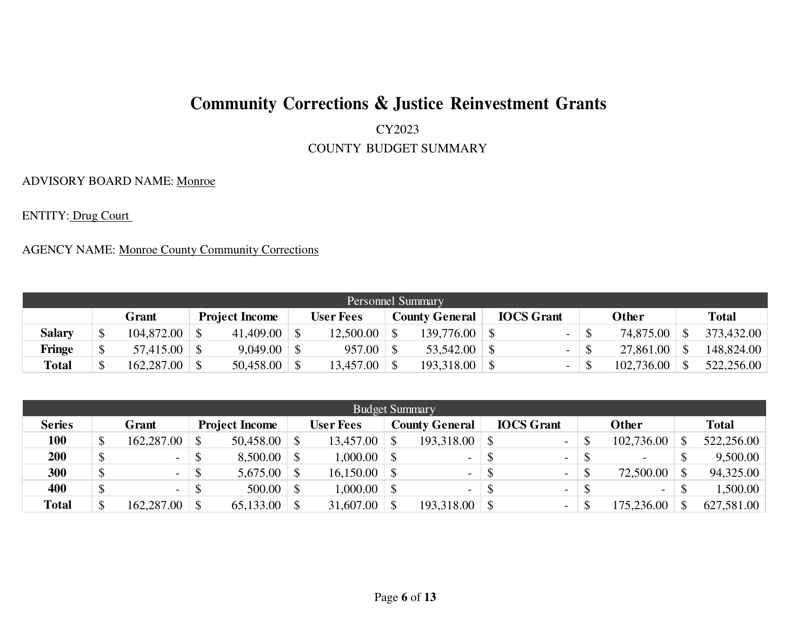CY2023

COUNTY BUDGET SUMMARY

ADVISORY BOARD NAME: Monroe

ENTITY: Drug Court

|               | <b>Personnel Summary</b> |                                                                                                           |  |  |  |           |  |                          |  |   |  |            |  |            |  |
|---------------|--------------------------|-----------------------------------------------------------------------------------------------------------|--|--|--|-----------|--|--------------------------|--|---|--|------------|--|------------|--|
|               |                          | <b>IOCS</b> Grant<br><b>County General</b><br>Other<br><b>User Fees</b><br><b>Project Income</b><br>Grant |  |  |  |           |  |                          |  |   |  |            |  | Total      |  |
| <b>Salary</b> |                          | 104,872.00                                                                                                |  |  |  | 12,500.00 |  | $139.776.00 \text{ }$ \$ |  |   |  | 74,875.00  |  | 373,432.00 |  |
| Fringe        |                          |                                                                                                           |  |  |  | 957.00    |  |                          |  | - |  | 27,861.00  |  | 148,824.00 |  |
| <b>Total</b>  |                          | 162,287.00                                                                                                |  |  |  | 13,457.00 |  |                          |  |   |  | 102,736.00 |  | 522,256.00 |  |

|               | <b>Budget Summary</b>          |                          |               |                   |            |                  |  |                          |  |                          |  |                          |               |              |  |
|---------------|--------------------------------|--------------------------|---------------|-------------------|------------|------------------|--|--------------------------|--|--------------------------|--|--------------------------|---------------|--------------|--|
| <b>Series</b> | <b>Project Income</b><br>Grant |                          |               |                   |            | <b>User Fees</b> |  | <b>County General</b>    |  | <b>IOCS</b> Grant        |  | Other                    |               | <b>Total</b> |  |
| 100           |                                | 162,287.00               |               | 50,458.00         |            | 13,457.00        |  |                          |  | $\overline{\phantom{a}}$ |  | 102,736.00               | \$            | 522,256.00   |  |
| 200           |                                | $\overline{\phantom{a}}$ |               | $8,500.00$ \ \ \$ |            | 000.00           |  | $\overline{\phantom{0}}$ |  | $\qquad \qquad -$        |  | $\overline{\phantom{a}}$ |               | 9,500.00     |  |
| 300           |                                | $\overline{\phantom{0}}$ | $\mathcal{S}$ |                   |            | 16,150.00        |  | $\overline{\phantom{a}}$ |  | $\overline{\phantom{a}}$ |  | 72,500.00                |               | 94,325.00    |  |
| 400           |                                | $\overline{\phantom{a}}$ |               | 500.00            | $\vert$ \$ | 00.000,1         |  | $\overline{\phantom{0}}$ |  | $\overline{\phantom{a}}$ |  | $\overline{\phantom{0}}$ | $\mathcal{S}$ | 1,500.00     |  |
| <b>Total</b>  | ¢                              | 162,287.00               | $\mathcal{S}$ | 65,133.00         |            | 31,607.00        |  |                          |  | $\overline{\phantom{a}}$ |  | 75,236.00                | <sup>\$</sup> | 627,581.00   |  |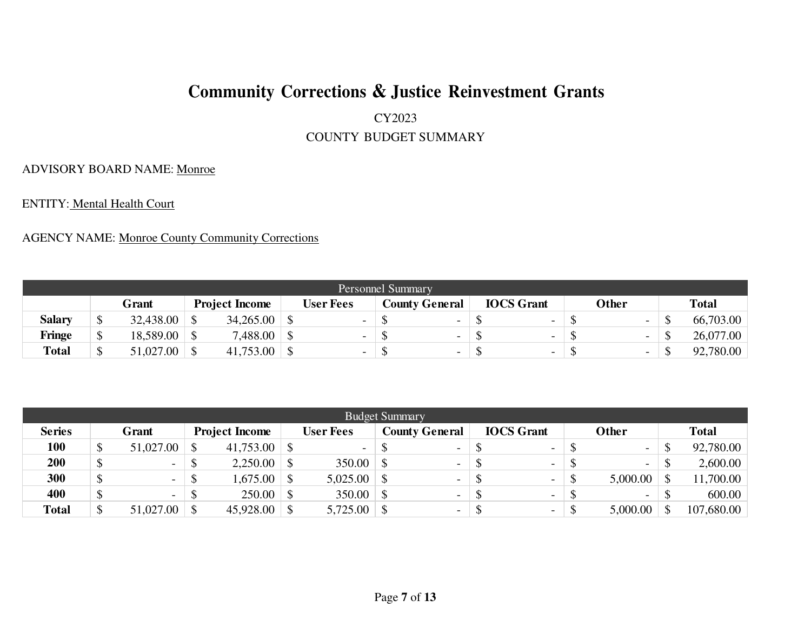#### CY2023

#### COUNTY BUDGET SUMMARY

#### ADVISORY BOARD NAME: Monroe

ENTITY: Mental Health Court

|               | Personnel Summary |           |  |                       |  |                          |  |                |  |                          |  |                          |  |              |  |
|---------------|-------------------|-----------|--|-----------------------|--|--------------------------|--|----------------|--|--------------------------|--|--------------------------|--|--------------|--|
|               |                   | Grant     |  | <b>Project Income</b> |  | <b>User Fees</b>         |  | County General |  | <b>IOCS</b> Grant        |  | Other                    |  | <b>Total</b> |  |
| <b>Salary</b> |                   | 32,438.00 |  | 34,265.00             |  | $\overline{\phantom{0}}$ |  | -              |  | $\overline{\phantom{0}}$ |  | $\sim$                   |  | 66,703.00    |  |
| Fringe        | ◡                 | 18,589.00 |  | 7,488.00              |  | $\overline{\phantom{0}}$ |  | -              |  | -                        |  | $\overline{\phantom{0}}$ |  | 26,077.00    |  |
| <b>Total</b>  |                   | 51,027.00 |  | 41,753.00             |  | $\overline{\phantom{0}}$ |  | -              |  | $\sim$                   |  | $\overline{\phantom{a}}$ |  | 92,780.00    |  |

|               | <b>Budget Summary</b> |                          |  |                       |              |                          |  |                          |  |                          |  |                          |   |              |  |
|---------------|-----------------------|--------------------------|--|-----------------------|--------------|--------------------------|--|--------------------------|--|--------------------------|--|--------------------------|---|--------------|--|
| <b>Series</b> |                       | Grant                    |  | <b>Project Income</b> |              | <b>User Fees</b>         |  | <b>County General</b>    |  | <b>IOCS</b> Grant        |  | Other                    |   | <b>Total</b> |  |
| 100           |                       | 51,027.00                |  | $41,753.00$ \ \\$     |              | $\overline{\phantom{a}}$ |  | $\overline{\phantom{0}}$ |  | $\overline{\phantom{0}}$ |  | $\sim$                   | S | 92,780.00    |  |
| 200           |                       | $\overline{\phantom{a}}$ |  | 2,250.00              | $\perp$ S    | 350.00                   |  | $\overline{\phantom{0}}$ |  | $\sim$                   |  | $\sim$                   |   | 2,600.00     |  |
| 300           |                       | $\overline{\phantom{a}}$ |  | $1,675.00$ \ \$       |              | 5,025.00                 |  | $\overline{\phantom{0}}$ |  | $\overline{\phantom{a}}$ |  | 5,000.00                 |   | 11,700.00    |  |
| 400           |                       | $\overline{\phantom{a}}$ |  | 250.00                | $\mathsf{S}$ | 350.00                   |  | $\overline{\phantom{0}}$ |  | $\overline{\phantom{0}}$ |  | $\overline{\phantom{0}}$ |   | 600.00       |  |
| <b>Total</b>  |                       | 51,027.00                |  | 45,928.00             |              | 5,725.00                 |  | $\overline{\phantom{a}}$ |  | $\overline{\phantom{0}}$ |  | 5,000.00                 |   | 107,680.00   |  |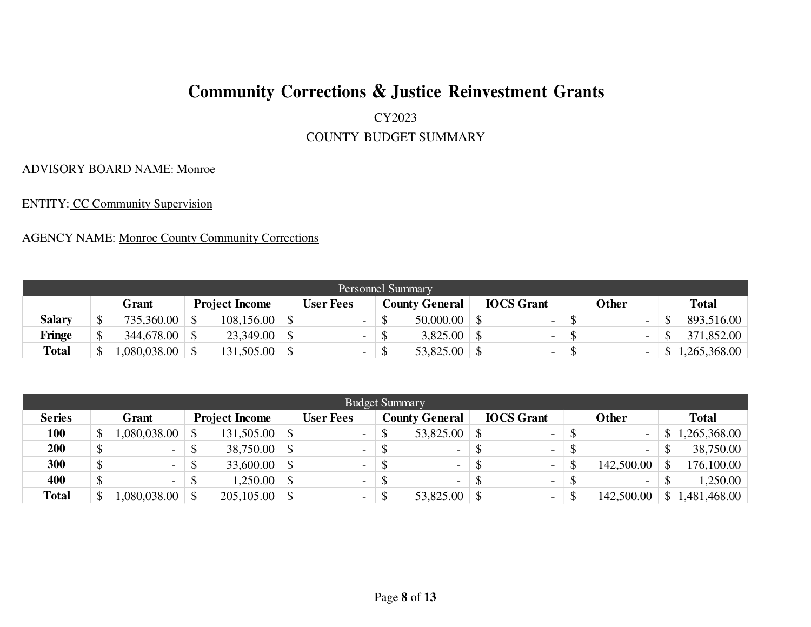#### CY2023

#### COUNTY BUDGET SUMMARY

#### ADVISORY BOARD NAME: Monroe

ENTITY: CC Community Supervision

|               | Personnel Summary |             |  |                       |  |           |               |                       |  |                          |   |                          |  |              |  |
|---------------|-------------------|-------------|--|-----------------------|--|-----------|---------------|-----------------------|--|--------------------------|---|--------------------------|--|--------------|--|
|               |                   | Grant       |  | <b>Project Income</b> |  | User Fees |               | <b>County General</b> |  | <b>IOCS</b> Grant        |   | Other                    |  | <b>Total</b> |  |
| <b>Salary</b> |                   | 735,360.00  |  | 108,156.00            |  | $\sim$    | $\mathcal{D}$ | 50,000,00             |  | $\overline{\phantom{a}}$ |   | $\blacksquare$           |  | 893,516.00   |  |
| <b>Fringe</b> |                   | 344,678.00  |  | 23,349.00             |  |           |               | 3,825.00              |  |                          |   | $\overline{\phantom{a}}$ |  | 371,852.00   |  |
| <b>Total</b>  |                   | .080,038.00 |  | 131,505.00            |  |           |               | 53,825.00             |  | $\overline{\phantom{0}}$ | ື |                          |  | 1,265,368.00 |  |

| <b>Budget Summary</b> |  |                          |    |                       |              |                          |                           |                          |  |                          |  |                          |  |              |
|-----------------------|--|--------------------------|----|-----------------------|--------------|--------------------------|---------------------------|--------------------------|--|--------------------------|--|--------------------------|--|--------------|
| <b>Series</b>         |  | Grant                    |    | <b>Project Income</b> |              | <b>User Fees</b>         |                           | <b>County General</b>    |  | <b>IOCS</b> Grant        |  | Other                    |  | <b>Total</b> |
| 100                   |  | ,080,038.00              |    |                       |              | $\sim$                   | $\boldsymbol{\mathsf{S}}$ | $53,825.00$ :            |  | $\overline{\phantom{a}}$ |  | $\sim$                   |  | 1,265,368.00 |
| 200                   |  | $\sim$                   | ←  | $38,750.00$ \ \ \$    |              | $\sim$                   | <sup>\$</sup>             | $\overline{\phantom{a}}$ |  | $\overline{\phantom{a}}$ |  | $\overline{\phantom{a}}$ |  | 38,750.00    |
| 300                   |  | <b>-</b>                 |    |                       |              | $\sim$                   | S                         | $\overline{\phantom{a}}$ |  | $\overline{\phantom{0}}$ |  | 142,500.00               |  | 176,100.00   |
| 400                   |  | $\overline{\phantom{a}}$ | ึ  | 1,250.00              | $\mathsf{S}$ | $\sim$                   | $\mathcal{S}$             | $\overline{\phantom{a}}$ |  | $\overline{\phantom{0}}$ |  | $\overline{\phantom{a}}$ |  | 1,250.00     |
| <b>Total</b>          |  | ,080,038.00              | \$ |                       |              | $\overline{\phantom{0}}$ | $\mathcal{S}$             |                          |  | $\overline{\phantom{0}}$ |  | 142,500.00               |  | .481,468.00  |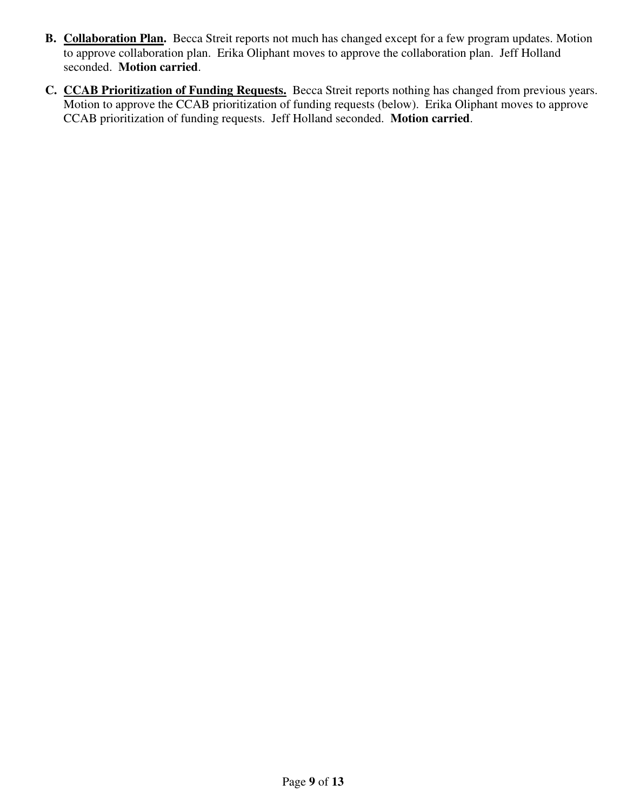- **B. Collaboration Plan.** Becca Streit reports not much has changed except for a few program updates. Motion to approve collaboration plan. Erika Oliphant moves to approve the collaboration plan. Jeff Holland seconded. **Motion carried**.
- **C. CCAB Prioritization of Funding Requests.** Becca Streit reports nothing has changed from previous years. Motion to approve the CCAB prioritization of funding requests (below). Erika Oliphant moves to approve CCAB prioritization of funding requests. Jeff Holland seconded. **Motion carried**.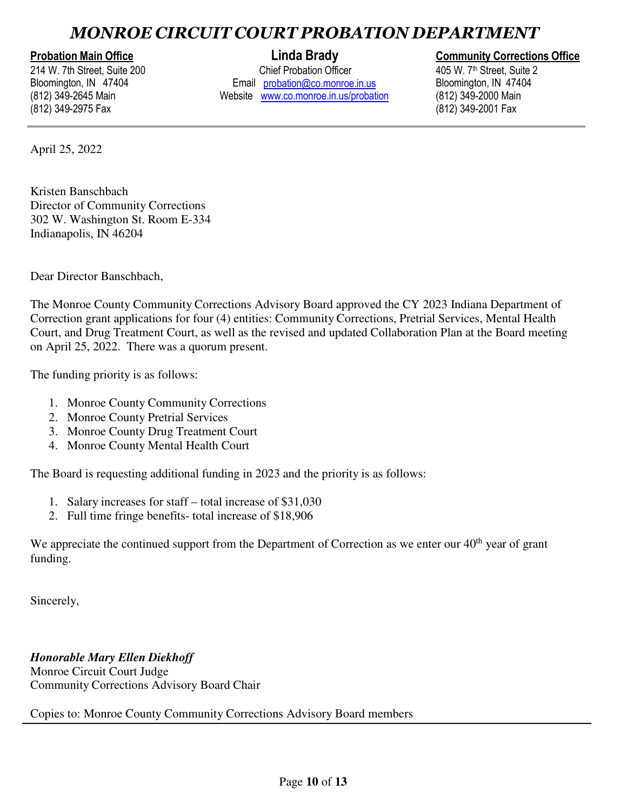## *MONROE CIRCUIT COURT PROBATION DEPARTMENT*

214 W. 7th Street, Suite 200 Bloomington, IN 47404 (812) 349-2645 Main (812) 349-2975 Fax

Chief Probation Officer Email probation@co.monroe.in.us Website www.co.monroe.in.us/probation

#### **Probation Main Office Linda Brady Linda Brady Community Corrections Office**

405 W. 7 th Street, Suite 2 Bloomington, IN 47404<br>(812) 349-2000 Main (812) 349-2001 Fax

April 25, 2022

Kristen Banschbach Director of Community Corrections 302 W. Washington St. Room E-334 Indianapolis, IN 46204

Dear Director Banschbach,

The Monroe County Community Corrections Advisory Board approved the CY 2023 Indiana Department of Correction grant applications for four (4) entities: Community Corrections, Pretrial Services, Mental Health Court, and Drug Treatment Court, as well as the revised and updated Collaboration Plan at the Board meeting on April 25, 2022. There was a quorum present.

The funding priority is as follows:

- 1. Monroe County Community Corrections
- 2. Monroe County Pretrial Services
- 3. Monroe County Drug Treatment Court
- 4. Monroe County Mental Health Court

The Board is requesting additional funding in 2023 and the priority is as follows:

- 1. Salary increases for staff total increase of \$31,030
- 2. Full time fringe benefits- total increase of \$18,906

We appreciate the continued support from the Department of Correction as we enter our  $40<sup>th</sup>$  year of grant funding.

Sincerely,

*Honorable Mary Ellen Diekhoff* Monroe Circuit Court Judge Community Corrections Advisory Board Chair

Copies to: Monroe County Community Corrections Advisory Board members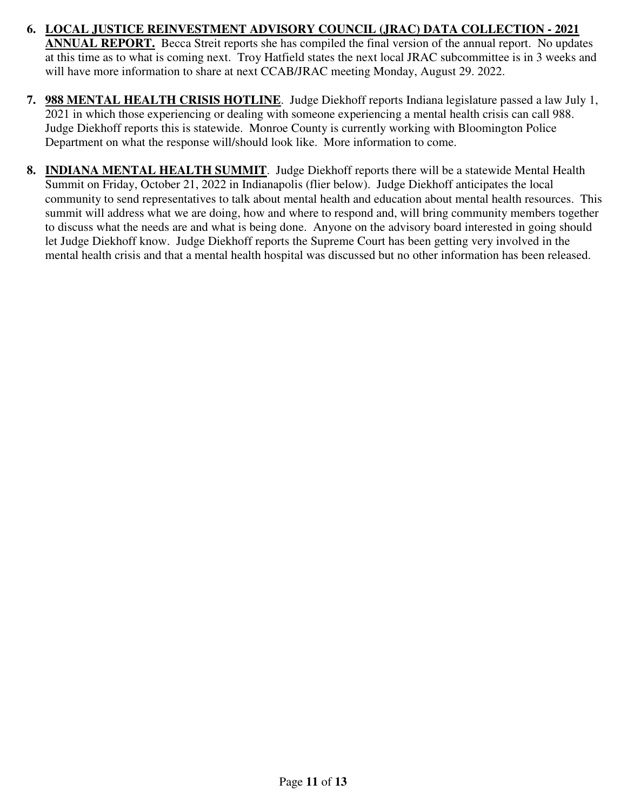- **6. LOCAL JUSTICE REINVESTMENT ADVISORY COUNCIL (JRAC) DATA COLLECTION 2021 ANNUAL REPORT.** Becca Streit reports she has compiled the final version of the annual report. No updates at this time as to what is coming next. Troy Hatfield states the next local JRAC subcommittee is in 3 weeks and will have more information to share at next CCAB/JRAC meeting Monday, August 29. 2022.
- **7. 988 MENTAL HEALTH CRISIS HOTLINE**. Judge Diekhoff reports Indiana legislature passed a law July 1, 2021 in which those experiencing or dealing with someone experiencing a mental health crisis can call 988. Judge Diekhoff reports this is statewide. Monroe County is currently working with Bloomington Police Department on what the response will/should look like. More information to come.
- **8. INDIANA MENTAL HEALTH SUMMIT**. Judge Diekhoff reports there will be a statewide Mental Health Summit on Friday, October 21, 2022 in Indianapolis (flier below). Judge Diekhoff anticipates the local community to send representatives to talk about mental health and education about mental health resources. This summit will address what we are doing, how and where to respond and, will bring community members together to discuss what the needs are and what is being done. Anyone on the advisory board interested in going should let Judge Diekhoff know. Judge Diekhoff reports the Supreme Court has been getting very involved in the mental health crisis and that a mental health hospital was discussed but no other information has been released.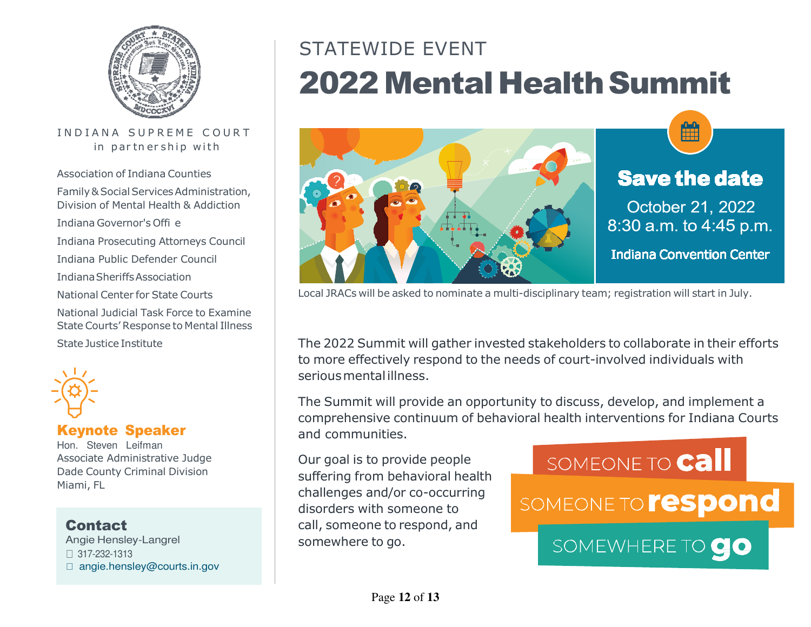

#### IN D I A N A SUPREME COURT in partnership with

Association of Indiana CountiesFamily & Social Services Administration,Division of Mental Health & AddictionIndiana Governor's Offi eIndiana Prosecuting Attorneys Council Indiana Public Defender Council Indiana Sheriffs AssociationNational Center for State CourtsNational Judicial Task Force to Examine State Courts' Response to Mental IllnessState Justice Institute



### Keynote Speaker

Hon. Steven Leifman Associate Administrative Judge Dade County Criminal DivisionMiami, FL

### **Contact**

 Angie Hensley-Langrel 317-232-1313 $\Box$  angie.hensley@courts.in.gov

# STATEWIDE EVENT2022 Mental Health Summit



# **Save the date**

October 21, 2022 8:30 a.m. to 4:45 p.m.

**Indiana Convention Center** 

Local JRACs will be asked to nominate a multi-disciplinary team; registration will start in July.

The 2022 Summit will gather invested stakeholders to collaborate in their effortsto more effectively respond to the needs of court-involved individuals withserious mental illness.

The Summit will provide an opportunity to discuss, develop, and implement a comprehensive continuum of behavioral health interventions for Indiana Courtsand communities.

Our goal is to provide people suffering from behavioral health challenges and/or co-occurringdisorders with someone to call, someone to respond, andsomewhere to go.